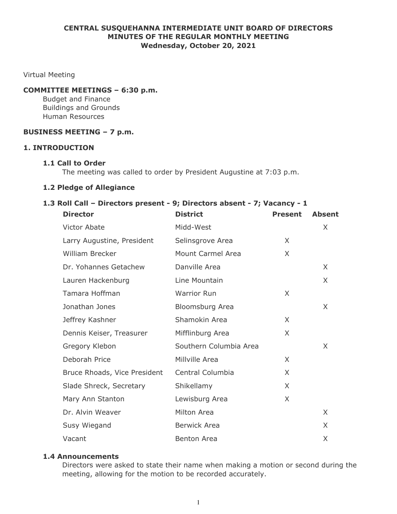# **CENTRAL SUSQUEHANNA INTERMEDIATE UNIT BOARD OF DIRECTORS MINUTES OF THE REGULAR MONTHLY MEETING Wednesday, October 20, 2021**

Virtual Meeting

### **COMMITTEE MEETINGS – 6:30 p.m.**

Budget and Finance Buildings and Grounds Human Resources

# **BUSINESS MEETING – 7 p.m.**

#### **1. INTRODUCTION**

#### **1.1 Call to Order**

The meeting was called to order by President Augustine at 7:03 p.m.

#### **1.2 Pledge of Allegiance**

# **1.3 Roll Call – Directors present - 9; Directors absent - 7; Vacancy - 1**

| <b>Director</b>              | <b>District</b>        | <b>Present</b> | <b>Absent</b> |
|------------------------------|------------------------|----------------|---------------|
| <b>Victor Abate</b>          | Midd-West              |                | X             |
| Larry Augustine, President   | Selinsgrove Area       | X              |               |
| <b>William Brecker</b>       | Mount Carmel Area      | X              |               |
| Dr. Yohannes Getachew        | Danville Area          |                | X             |
| Lauren Hackenburg            | Line Mountain          |                | X             |
| Tamara Hoffman               | <b>Warrior Run</b>     | X              |               |
| Jonathan Jones               | Bloomsburg Area        |                | X             |
| Jeffrey Kashner              | Shamokin Area          | $\times$       |               |
| Dennis Keiser, Treasurer     | Mifflinburg Area       | $\times$       |               |
| Gregory Klebon               | Southern Columbia Area |                | X             |
| Deborah Price                | Millville Area         | X              |               |
| Bruce Rhoads, Vice President | Central Columbia       | X              |               |
| Slade Shreck, Secretary      | Shikellamy             | X              |               |
| Mary Ann Stanton             | Lewisburg Area         | X              |               |
| Dr. Alvin Weaver             | Milton Area            |                | $\times$      |
| Susy Wiegand                 | <b>Berwick Area</b>    |                | X             |
| Vacant                       | <b>Benton Area</b>     |                | X             |

#### **1.4 Announcements**

Directors were asked to state their name when making a motion or second during the meeting, allowing for the motion to be recorded accurately.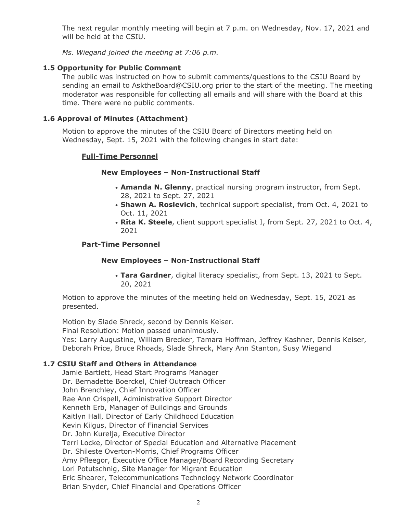The next regular monthly meeting will begin at 7 p.m. on Wednesday, Nov. 17, 2021 and will be held at the CSIU.

*Ms. Wiegand joined the meeting at 7:06 p.m.*

# **1.5 Opportunity for Public Comment**

The public was instructed on how to submit comments/questions to the CSIU Board by sending an email to AsktheBoard@CSIU.org prior to the start of the meeting. The meeting moderator was responsible for collecting all emails and will share with the Board at this time. There were no public comments.

# **1.6 Approval of Minutes (Attachment)**

Motion to approve the minutes of the CSIU Board of Directors meeting held on Wednesday, Sept. 15, 2021 with the following changes in start date:

# **Full-Time Personnel**

# **New Employees – Non-Instructional Staff**

- **Amanda N. Glenny**, practical nursing program instructor, from Sept. 28, 2021 to Sept. 27, 2021
- **Shawn A. Roslevich**, technical support specialist, from Oct. 4, 2021 to Oct. 11, 2021
- **Rita K. Steele**, client support specialist I, from Sept. 27, 2021 to Oct. 4, 2021

# **Part-Time Personnel**

### **New Employees – Non-Instructional Staff**

• **Tara Gardner**, digital literacy specialist, from Sept. 13, 2021 to Sept. 20, 2021

Motion to approve the minutes of the meeting held on Wednesday, Sept. 15, 2021 as presented.

Motion by Slade Shreck, second by Dennis Keiser.

Final Resolution: Motion passed unanimously.

Yes: Larry Augustine, William Brecker, Tamara Hoffman, Jeffrey Kashner, Dennis Keiser, Deborah Price, Bruce Rhoads, Slade Shreck, Mary Ann Stanton, Susy Wiegand

# **1.7 CSIU Staff and Others in Attendance**

Jamie Bartlett, Head Start Programs Manager Dr. Bernadette Boerckel, Chief Outreach Officer John Brenchley, Chief Innovation Officer Rae Ann Crispell, Administrative Support Director Kenneth Erb, Manager of Buildings and Grounds Kaitlyn Hall, Director of Early Childhood Education Kevin Kilgus, Director of Financial Services Dr. John Kurelja, Executive Director Terri Locke, Director of Special Education and Alternative Placement Dr. Shileste Overton-Morris, Chief Programs Officer Amy Pfleegor, Executive Office Manager/Board Recording Secretary Lori Potutschnig, Site Manager for Migrant Education Eric Shearer, Telecommunications Technology Network Coordinator Brian Snyder, Chief Financial and Operations Officer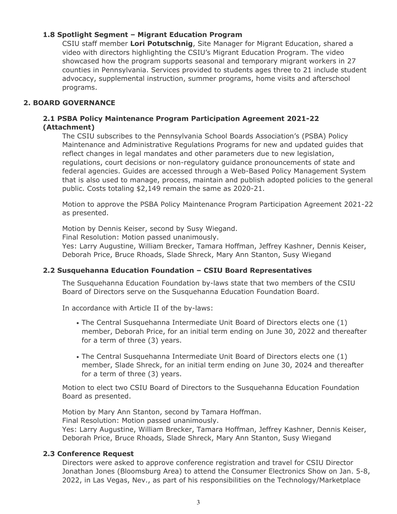# **1.8 Spotlight Segment – Migrant Education Program**

CSIU staff member **Lori Potutschnig**, Site Manager for Migrant Education, shared a video with directors highlighting the CSIU's Migrant Education Program. The video showcased how the program supports seasonal and temporary migrant workers in 27 counties in Pennsylvania. Services provided to students ages three to 21 include student advocacy, supplemental instruction, summer programs, home visits and afterschool programs.

# **2. BOARD GOVERNANCE**

# **2.1 PSBA Policy Maintenance Program Participation Agreement 2021-22 (Attachment)**

The CSIU subscribes to the Pennsylvania School Boards Association's (PSBA) Policy Maintenance and Administrative Regulations Programs for new and updated guides that reflect changes in legal mandates and other parameters due to new legislation, regulations, court decisions or non-regulatory guidance pronouncements of state and federal agencies. Guides are accessed through a Web-Based Policy Management System that is also used to manage, process, maintain and publish adopted policies to the general public. Costs totaling \$2,149 remain the same as 2020-21.

Motion to approve the PSBA Policy Maintenance Program Participation Agreement 2021-22 as presented.

Motion by Dennis Keiser, second by Susy Wiegand.

Final Resolution: Motion passed unanimously.

Yes: Larry Augustine, William Brecker, Tamara Hoffman, Jeffrey Kashner, Dennis Keiser, Deborah Price, Bruce Rhoads, Slade Shreck, Mary Ann Stanton, Susy Wiegand

# **2.2 Susquehanna Education Foundation – CSIU Board Representatives**

The Susquehanna Education Foundation by-laws state that two members of the CSIU Board of Directors serve on the Susquehanna Education Foundation Board.

In accordance with Article II of the by-laws:

- The Central Susquehanna Intermediate Unit Board of Directors elects one (1) member, Deborah Price, for an initial term ending on June 30, 2022 and thereafter for a term of three (3) years.
- The Central Susquehanna Intermediate Unit Board of Directors elects one (1) member, Slade Shreck, for an initial term ending on June 30, 2024 and thereafter for a term of three (3) years.

Motion to elect two CSIU Board of Directors to the Susquehanna Education Foundation Board as presented.

Motion by Mary Ann Stanton, second by Tamara Hoffman.

Final Resolution: Motion passed unanimously.

Yes: Larry Augustine, William Brecker, Tamara Hoffman, Jeffrey Kashner, Dennis Keiser, Deborah Price, Bruce Rhoads, Slade Shreck, Mary Ann Stanton, Susy Wiegand

# **2.3 Conference Request**

Directors were asked to approve conference registration and travel for CSIU Director Jonathan Jones (Bloomsburg Area) to attend the Consumer Electronics Show on Jan. 5-8, 2022, in Las Vegas, Nev., as part of his responsibilities on the Technology/Marketplace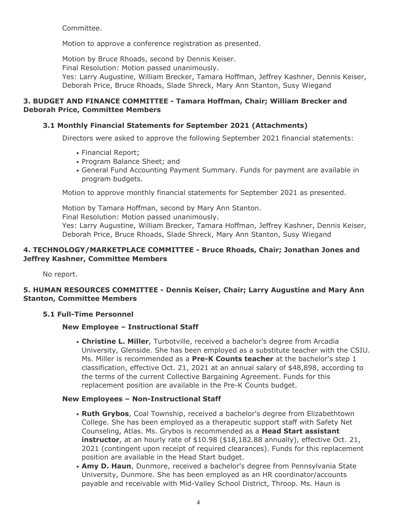Committee.

Motion to approve a conference registration as presented.

Motion by Bruce Rhoads, second by Dennis Keiser. Final Resolution: Motion passed unanimously. Yes: Larry Augustine, William Brecker, Tamara Hoffman, Jeffrey Kashner, Dennis Keiser, Deborah Price, Bruce Rhoads, Slade Shreck, Mary Ann Stanton, Susy Wiegand

# **3. BUDGET AND FINANCE COMMITTEE - Tamara Hoffman, Chair; William Brecker and Deborah Price, Committee Members**

# **3.1 Monthly Financial Statements for September 2021 (Attachments)**

Directors were asked to approve the following September 2021 financial statements:

- Financial Report;
- Program Balance Sheet; and
- General Fund Accounting Payment Summary. Funds for payment are available in program budgets.

Motion to approve monthly financial statements for September 2021 as presented.

Motion by Tamara Hoffman, second by Mary Ann Stanton. Final Resolution: Motion passed unanimously. Yes: Larry Augustine, William Brecker, Tamara Hoffman, Jeffrey Kashner, Dennis Keiser, Deborah Price, Bruce Rhoads, Slade Shreck, Mary Ann Stanton, Susy Wiegand

# **4. TECHNOLOGY/MARKETPLACE COMMITTEE - Bruce Rhoads, Chair; Jonathan Jones and Jeffrey Kashner, Committee Members**

No report.

# **5. HUMAN RESOURCES COMMITTEE - Dennis Keiser, Chair; Larry Augustine and Mary Ann Stanton, Committee Members**

# **5.1 Full-Time Personnel**

# **New Employee – Instructional Staff**

• **Christine L. Miller**, Turbotville, received a bachelor's degree from Arcadia University, Glenside. She has been employed as a substitute teacher with the CSIU. Ms. Miller is recommended as a **Pre-K Counts teacher** at the bachelor's step 1 classification, effective Oct. 21, 2021 at an annual salary of \$48,898, according to the terms of the current Collective Bargaining Agreement. Funds for this replacement position are available in the Pre-K Counts budget.

# **New Employees – Non-Instructional Staff**

- **Ruth Grybos**, Coal Township, received a bachelor's degree from Elizabethtown College. She has been employed as a therapeutic support staff with Safety Net Counseling, Atlas. Ms. Grybos is recommended as a **Head Start assistant instructor**, at an hourly rate of \$10.98 (\$18,182.88 annually), effective Oct. 21, 2021 (contingent upon receipt of required clearances). Funds for this replacement position are available in the Head Start budget.
- **Amy D. Haun**, Dunmore, received a bachelor's degree from Pennsylvania State University, Dunmore. She has been employed as an HR coordinator/accounts payable and receivable with Mid-Valley School District, Throop. Ms. Haun is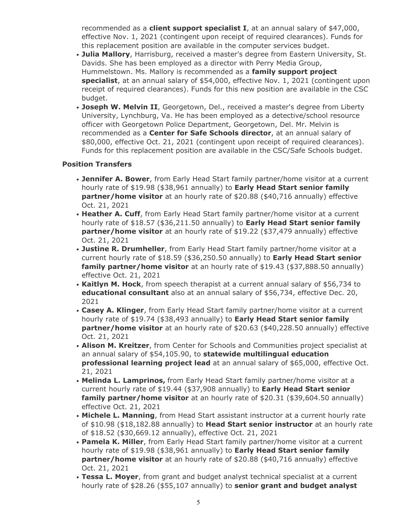recommended as a **client support specialist I**, at an annual salary of \$47,000, effective Nov. 1, 2021 (contingent upon receipt of required clearances). Funds for this replacement position are available in the computer services budget.

- **Julia Mallory**, Harrisburg, received a master's degree from Eastern University, St. Davids. She has been employed as a director with Perry Media Group, Hummelstown. Ms. Mallory is recommended as a **family support project specialist**, at an annual salary of \$54,000, effective Nov. 1, 2021 (contingent upon receipt of required clearances). Funds for this new position are available in the CSC budget.
- **Joseph W. Melvin II**, Georgetown, Del., received a master's degree from Liberty University, Lynchburg, Va. He has been employed as a detective/school resource officer with Georgetown Police Department, Georgetown, Del. Mr. Melvin is recommended as a **Center for Safe Schools director**, at an annual salary of \$80,000, effective Oct. 21, 2021 (contingent upon receipt of required clearances). Funds for this replacement position are available in the CSC/Safe Schools budget.

# **Position Transfers**

- **Jennifer A. Bower**, from Early Head Start family partner/home visitor at a current hourly rate of \$19.98 (\$38,961 annually) to **Early Head Start senior family partner/home visitor** at an hourly rate of \$20.88 (\$40,716 annually) effective Oct. 21, 2021
- **Heather A. Cuff**, from Early Head Start family partner/home visitor at a current hourly rate of \$18.57 (\$36,211.50 annually) to **Early Head Start senior family partner/home visitor** at an hourly rate of \$19.22 (\$37,479 annually) effective Oct. 21, 2021
- **Justine R. Drumheller**, from Early Head Start family partner/home visitor at a current hourly rate of \$18.59 (\$36,250.50 annually) to **Early Head Start senior family partner/home visitor** at an hourly rate of \$19.43 (\$37,888.50 annually) effective Oct. 21, 2021
- **Kaitlyn M. Hock**, from speech therapist at a current annual salary of \$56,734 to **educational consultant** also at an annual salary of \$56,734, effective Dec. 20, 2021
- **Casey A. Klinger**, from Early Head Start family partner/home visitor at a current hourly rate of \$19.74 (\$38,493 annually) to **Early Head Start senior family partner/home visitor** at an hourly rate of \$20.63 (\$40,228.50 annually) effective Oct. 21, 2021
- **Alison M. Kreitzer**, from Center for Schools and Communities project specialist at an annual salary of \$54,105.90, to **statewide multilingual education professional learning project lead** at an annual salary of \$65,000, effective Oct. 21, 2021
- **Melinda L. Lamprinos,** from Early Head Start family partner/home visitor at a current hourly rate of \$19.44 (\$37,908 annually) to **Early Head Start senior family partner/home visitor** at an hourly rate of \$20.31 (\$39,604.50 annually) effective Oct. 21, 2021
- **Michele L. Manning**, from Head Start assistant instructor at a current hourly rate of \$10.98 (\$18,182.88 annually) to **Head Start senior instructor** at an hourly rate of \$18.52 (\$30,669.12 annually), effective Oct. 21, 2021
- **Pamela K. Miller**, from Early Head Start family partner/home visitor at a current hourly rate of \$19.98 (\$38,961 annually) to **Early Head Start senior family partner/home visitor** at an hourly rate of \$20.88 (\$40,716 annually) effective Oct. 21, 2021
- **Tessa L. Moyer**, from grant and budget analyst technical specialist at a current hourly rate of \$28.26 (\$55,107 annually) to **senior grant and budget analyst**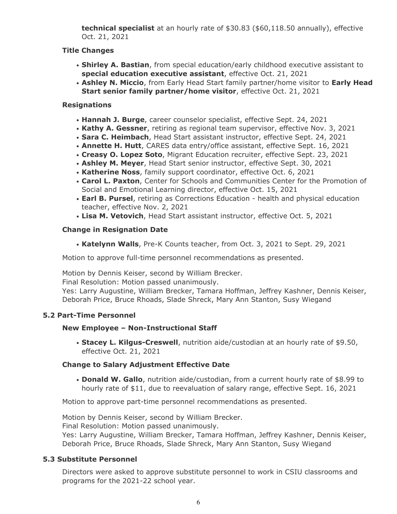**technical specialist** at an hourly rate of \$30.83 (\$60,118.50 annually), effective Oct. 21, 2021

# **Title Changes**

- **Shirley A. Bastian**, from special education/early childhood executive assistant to **special education executive assistant**, effective Oct. 21, 2021
- **Ashley N. Miccio**, from Early Head Start family partner/home visitor to **Early Head Start senior family partner/home visitor**, effective Oct. 21, 2021

# **Resignations**

- **Hannah J. Burge**, career counselor specialist, effective Sept. 24, 2021
- **Kathy A. Gessner**, retiring as regional team supervisor, effective Nov. 3, 2021
- **Sara C. Heimbach**, Head Start assistant instructor, effective Sept. 24, 2021
- **Annette H. Hutt**, CARES data entry/office assistant, effective Sept. 16, 2021
- **Creasy O. Lopez Soto**, Migrant Education recruiter, effective Sept. 23, 2021
- **Ashley M. Meyer**, Head Start senior instructor, effective Sept. 30, 2021
- **Katherine Noss**, family support coordinator, effective Oct. 6, 2021
- **Carol L. Paxton**, Center for Schools and Communities Center for the Promotion of Social and Emotional Learning director, effective Oct. 15, 2021
- **Earl B. Pursel**, retiring as Corrections Education health and physical education teacher, effective Nov. 2, 2021
- **Lisa M. Vetovich**, Head Start assistant instructor, effective Oct. 5, 2021

# **Change in Resignation Date**

• **Katelynn Walls**, Pre-K Counts teacher, from Oct. 3, 2021 to Sept. 29, 2021

Motion to approve full-time personnel recommendations as presented.

Motion by Dennis Keiser, second by William Brecker.

Final Resolution: Motion passed unanimously.

Yes: Larry Augustine, William Brecker, Tamara Hoffman, Jeffrey Kashner, Dennis Keiser, Deborah Price, Bruce Rhoads, Slade Shreck, Mary Ann Stanton, Susy Wiegand

# **5.2 Part-Time Personnel**

# **New Employee – Non-Instructional Staff**

• **Stacey L. Kilgus-Creswell**, nutrition aide/custodian at an hourly rate of \$9.50, effective Oct. 21, 2021

# **Change to Salary Adjustment Effective Date**

• **Donald W. Gallo**, nutrition aide/custodian, from a current hourly rate of \$8.99 to hourly rate of \$11, due to reevaluation of salary range, effective Sept. 16, 2021

Motion to approve part-time personnel recommendations as presented.

Motion by Dennis Keiser, second by William Brecker. Final Resolution: Motion passed unanimously.

Yes: Larry Augustine, William Brecker, Tamara Hoffman, Jeffrey Kashner, Dennis Keiser, Deborah Price, Bruce Rhoads, Slade Shreck, Mary Ann Stanton, Susy Wiegand

# **5.3 Substitute Personnel**

Directors were asked to approve substitute personnel to work in CSIU classrooms and programs for the 2021-22 school year.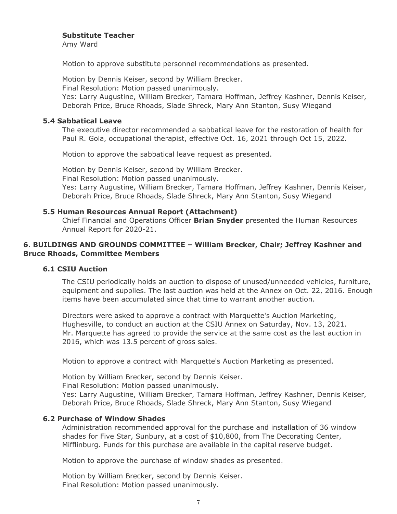#### **Substitute Teacher**

Amy Ward

Motion to approve substitute personnel recommendations as presented.

Motion by Dennis Keiser, second by William Brecker.

Final Resolution: Motion passed unanimously.

Yes: Larry Augustine, William Brecker, Tamara Hoffman, Jeffrey Kashner, Dennis Keiser, Deborah Price, Bruce Rhoads, Slade Shreck, Mary Ann Stanton, Susy Wiegand

### **5.4 Sabbatical Leave**

The executive director recommended a sabbatical leave for the restoration of health for Paul R. Gola, occupational therapist, effective Oct. 16, 2021 through Oct 15, 2022.

Motion to approve the sabbatical leave request as presented.

Motion by Dennis Keiser, second by William Brecker. Final Resolution: Motion passed unanimously. Yes: Larry Augustine, William Brecker, Tamara Hoffman, Jeffrey Kashner, Dennis Keiser, Deborah Price, Bruce Rhoads, Slade Shreck, Mary Ann Stanton, Susy Wiegand

# **5.5 Human Resources Annual Report (Attachment)**

Chief Financial and Operations Officer **Brian Snyder** presented the Human Resources Annual Report for 2020-21.

# **6. BUILDINGS AND GROUNDS COMMITTEE – William Brecker, Chair; Jeffrey Kashner and Bruce Rhoads, Committee Members**

# **6.1 CSIU Auction**

The CSIU periodically holds an auction to dispose of unused/unneeded vehicles, furniture, equipment and supplies. The last auction was held at the Annex on Oct. 22, 2016. Enough items have been accumulated since that time to warrant another auction.

Directors were asked to approve a contract with Marquette's Auction Marketing, Hughesville, to conduct an auction at the CSIU Annex on Saturday, Nov. 13, 2021. Mr. Marquette has agreed to provide the service at the same cost as the last auction in 2016, which was 13.5 percent of gross sales.

Motion to approve a contract with Marquette's Auction Marketing as presented.

Motion by William Brecker, second by Dennis Keiser.

Final Resolution: Motion passed unanimously.

Yes: Larry Augustine, William Brecker, Tamara Hoffman, Jeffrey Kashner, Dennis Keiser, Deborah Price, Bruce Rhoads, Slade Shreck, Mary Ann Stanton, Susy Wiegand

# **6.2 Purchase of Window Shades**

Administration recommended approval for the purchase and installation of 36 window shades for Five Star, Sunbury, at a cost of \$10,800, from The Decorating Center, Mifflinburg. Funds for this purchase are available in the capital reserve budget.

Motion to approve the purchase of window shades as presented.

Motion by William Brecker, second by Dennis Keiser. Final Resolution: Motion passed unanimously.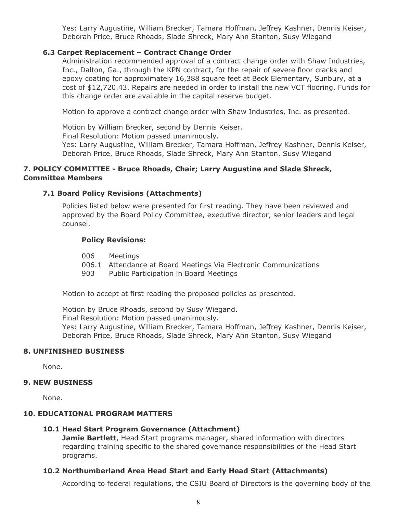Yes: Larry Augustine, William Brecker, Tamara Hoffman, Jeffrey Kashner, Dennis Keiser, Deborah Price, Bruce Rhoads, Slade Shreck, Mary Ann Stanton, Susy Wiegand

# **6.3 Carpet Replacement – Contract Change Order**

Administration recommended approval of a contract change order with Shaw Industries, Inc., Dalton, Ga., through the KPN contract, for the repair of severe floor cracks and epoxy coating for approximately 16,388 square feet at Beck Elementary, Sunbury, at a cost of \$12,720.43. Repairs are needed in order to install the new VCT flooring. Funds for this change order are available in the capital reserve budget.

Motion to approve a contract change order with Shaw Industries, Inc. as presented.

Motion by William Brecker, second by Dennis Keiser. Final Resolution: Motion passed unanimously. Yes: Larry Augustine, William Brecker, Tamara Hoffman, Jeffrey Kashner, Dennis Keiser, Deborah Price, Bruce Rhoads, Slade Shreck, Mary Ann Stanton, Susy Wiegand

# **7. POLICY COMMITTEE - Bruce Rhoads, Chair; Larry Augustine and Slade Shreck, Committee Members**

# **7.1 Board Policy Revisions (Attachments)**

Policies listed below were presented for first reading. They have been reviewed and approved by the Board Policy Committee, executive director, senior leaders and legal counsel.

# **Policy Revisions:**

- 006 Meetings
- 006.1 Attendance at Board Meetings Via Electronic Communications
- 903 Public Participation in Board Meetings

Motion to accept at first reading the proposed policies as presented.

Motion by Bruce Rhoads, second by Susy Wiegand. Final Resolution: Motion passed unanimously. Yes: Larry Augustine, William Brecker, Tamara Hoffman, Jeffrey Kashner, Dennis Keiser, Deborah Price, Bruce Rhoads, Slade Shreck, Mary Ann Stanton, Susy Wiegand

# **8. UNFINISHED BUSINESS**

None.

# **9. NEW BUSINESS**

None.

# **10. EDUCATIONAL PROGRAM MATTERS**

# **10.1 Head Start Program Governance (Attachment)**

**Jamie Bartlett**, Head Start programs manager, shared information with directors regarding training specific to the shared governance responsibilities of the Head Start programs.

# **10.2 Northumberland Area Head Start and Early Head Start (Attachments)**

According to federal regulations, the CSIU Board of Directors is the governing body of the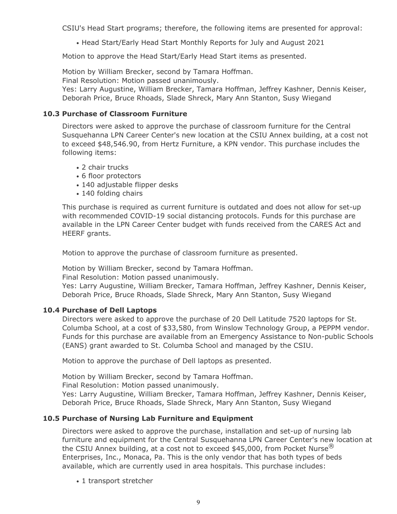CSIU's Head Start programs; therefore, the following items are presented for approval:

• Head Start/Early Head Start Monthly Reports for July and August 2021

Motion to approve the Head Start/Early Head Start items as presented.

Motion by William Brecker, second by Tamara Hoffman.

Final Resolution: Motion passed unanimously.

Yes: Larry Augustine, William Brecker, Tamara Hoffman, Jeffrey Kashner, Dennis Keiser, Deborah Price, Bruce Rhoads, Slade Shreck, Mary Ann Stanton, Susy Wiegand

# **10.3 Purchase of Classroom Furniture**

Directors were asked to approve the purchase of classroom furniture for the Central Susquehanna LPN Career Center's new location at the CSIU Annex building, at a cost not to exceed \$48,546.90, from Hertz Furniture, a KPN vendor. This purchase includes the following items:

- 2 chair trucks
- 6 floor protectors
- 140 adjustable flipper desks
- 140 folding chairs

This purchase is required as current furniture is outdated and does not allow for set-up with recommended COVID-19 social distancing protocols. Funds for this purchase are available in the LPN Career Center budget with funds received from the CARES Act and HEERF grants.

Motion to approve the purchase of classroom furniture as presented.

Motion by William Brecker, second by Tamara Hoffman.

Final Resolution: Motion passed unanimously.

Yes: Larry Augustine, William Brecker, Tamara Hoffman, Jeffrey Kashner, Dennis Keiser, Deborah Price, Bruce Rhoads, Slade Shreck, Mary Ann Stanton, Susy Wiegand

# **10.4 Purchase of Dell Laptops**

Directors were asked to approve the purchase of 20 Dell Latitude 7520 laptops for St. Columba School, at a cost of \$33,580, from Winslow Technology Group, a PEPPM vendor. Funds for this purchase are available from an Emergency Assistance to Non-public Schools (EANS) grant awarded to St. Columba School and managed by the CSIU.

Motion to approve the purchase of Dell laptops as presented.

Motion by William Brecker, second by Tamara Hoffman.

Final Resolution: Motion passed unanimously.

Yes: Larry Augustine, William Brecker, Tamara Hoffman, Jeffrey Kashner, Dennis Keiser, Deborah Price, Bruce Rhoads, Slade Shreck, Mary Ann Stanton, Susy Wiegand

# **10.5 Purchase of Nursing Lab Furniture and Equipment**

Directors were asked to approve the purchase, installation and set-up of nursing lab furniture and equipment for the Central Susquehanna LPN Career Center's new location at the CSIU Annex building, at a cost not to exceed \$45,000, from Pocket Nurse $^\circledR$ Enterprises, Inc., Monaca, Pa. This is the only vendor that has both types of beds available, which are currently used in area hospitals. This purchase includes:

• 1 transport stretcher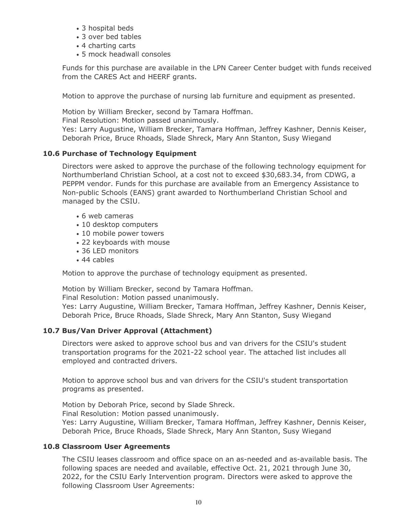- 3 hospital beds
- 3 over bed tables
- 4 charting carts
- 5 mock headwall consoles

Funds for this purchase are available in the LPN Career Center budget with funds received from the CARES Act and HEERF grants.

Motion to approve the purchase of nursing lab furniture and equipment as presented.

Motion by William Brecker, second by Tamara Hoffman.

Final Resolution: Motion passed unanimously.

Yes: Larry Augustine, William Brecker, Tamara Hoffman, Jeffrey Kashner, Dennis Keiser, Deborah Price, Bruce Rhoads, Slade Shreck, Mary Ann Stanton, Susy Wiegand

# **10.6 Purchase of Technology Equipment**

Directors were asked to approve the purchase of the following technology equipment for Northumberland Christian School, at a cost not to exceed \$30,683.34, from CDWG, a PEPPM vendor. Funds for this purchase are available from an Emergency Assistance to Non-public Schools (EANS) grant awarded to Northumberland Christian School and managed by the CSIU.

- 6 web cameras
- 10 desktop computers
- 10 mobile power towers
- 22 keyboards with mouse
- 36 LED monitors
- 44 cables

Motion to approve the purchase of technology equipment as presented.

Motion by William Brecker, second by Tamara Hoffman.

Final Resolution: Motion passed unanimously.

Yes: Larry Augustine, William Brecker, Tamara Hoffman, Jeffrey Kashner, Dennis Keiser, Deborah Price, Bruce Rhoads, Slade Shreck, Mary Ann Stanton, Susy Wiegand

# **10.7 Bus/Van Driver Approval (Attachment)**

Directors were asked to approve school bus and van drivers for the CSIU's student transportation programs for the 2021-22 school year. The attached list includes all employed and contracted drivers.

Motion to approve school bus and van drivers for the CSIU's student transportation programs as presented.

Motion by Deborah Price, second by Slade Shreck. Final Resolution: Motion passed unanimously. Yes: Larry Augustine, William Brecker, Tamara Hoffman, Jeffrey Kashner, Dennis Keiser, Deborah Price, Bruce Rhoads, Slade Shreck, Mary Ann Stanton, Susy Wiegand

# **10.8 Classroom User Agreements**

The CSIU leases classroom and office space on an as-needed and as-available basis. The following spaces are needed and available, effective Oct. 21, 2021 through June 30, 2022, for the CSIU Early Intervention program. Directors were asked to approve the following Classroom User Agreements: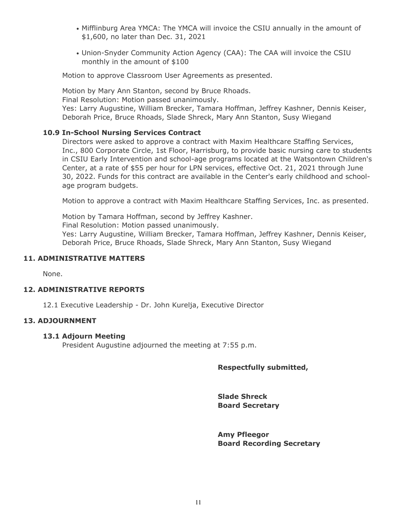- Mifflinburg Area YMCA: The YMCA will invoice the CSIU annually in the amount of \$1,600, no later than Dec. 31, 2021
- Union-Snyder Community Action Agency (CAA): The CAA will invoice the CSIU monthly in the amount of \$100

Motion to approve Classroom User Agreements as presented.

Motion by Mary Ann Stanton, second by Bruce Rhoads. Final Resolution: Motion passed unanimously. Yes: Larry Augustine, William Brecker, Tamara Hoffman, Jeffrey Kashner, Dennis Keiser, Deborah Price, Bruce Rhoads, Slade Shreck, Mary Ann Stanton, Susy Wiegand

#### **10.9 In-School Nursing Services Contract**

Directors were asked to approve a contract with Maxim Healthcare Staffing Services, Inc., 800 Corporate Circle, 1st Floor, Harrisburg, to provide basic nursing care to students in CSIU Early Intervention and school-age programs located at the Watsontown Children's Center, at a rate of \$55 per hour for LPN services, effective Oct. 21, 2021 through June 30, 2022. Funds for this contract are available in the Center's early childhood and schoolage program budgets.

Motion to approve a contract with Maxim Healthcare Staffing Services, Inc. as presented.

Motion by Tamara Hoffman, second by Jeffrey Kashner.

Final Resolution: Motion passed unanimously.

Yes: Larry Augustine, William Brecker, Tamara Hoffman, Jeffrey Kashner, Dennis Keiser, Deborah Price, Bruce Rhoads, Slade Shreck, Mary Ann Stanton, Susy Wiegand

#### **11. ADMINISTRATIVE MATTERS**

None.

#### **12. ADMINISTRATIVE REPORTS**

12.1 Executive Leadership - Dr. John Kurelja, Executive Director

#### **13. ADJOURNMENT**

#### **13.1 Adjourn Meeting**

President Augustine adjourned the meeting at 7:55 p.m.

# **Respectfully submitted,**

**Slade Shreck Board Secretary**

**Amy Pfleegor Board Recording Secretary**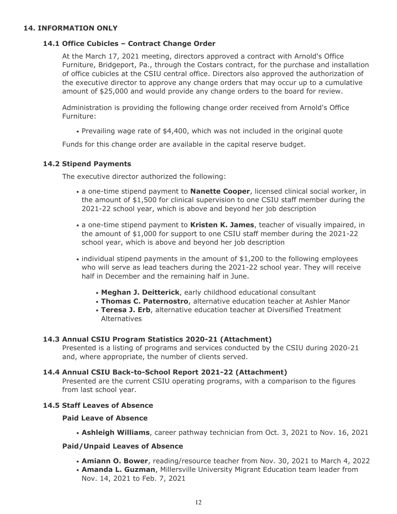# **14. INFORMATION ONLY**

#### **14.1 Office Cubicles – Contract Change Order**

At the March 17, 2021 meeting, directors approved a contract with Arnold's Office Furniture, Bridgeport, Pa., through the Costars contract, for the purchase and installation of office cubicles at the CSIU central office. Directors also approved the authorization of the executive director to approve any change orders that may occur up to a cumulative amount of \$25,000 and would provide any change orders to the board for review.

Administration is providing the following change order received from Arnold's Office Furniture:

• Prevailing wage rate of \$4,400, which was not included in the original quote

Funds for this change order are available in the capital reserve budget.

#### **14.2 Stipend Payments**

The executive director authorized the following:

- a one-time stipend payment to **Nanette Cooper**, licensed clinical social worker, in the amount of \$1,500 for clinical supervision to one CSIU staff member during the 2021-22 school year, which is above and beyond her job description
- a one-time stipend payment to **Kristen K. James**, teacher of visually impaired, in the amount of \$1,000 for support to one CSIU staff member during the 2021-22 school year, which is above and beyond her job description
- individual stipend payments in the amount of \$1,200 to the following employees who will serve as lead teachers during the 2021-22 school year. They will receive half in December and the remaining half in June.
	- **Meghan J. Deitterick**, early childhood educational consultant
	- **Thomas C. Paternostro**, alternative education teacher at Ashler Manor
	- **Teresa J. Erb**, alternative education teacher at Diversified Treatment Alternatives

#### **14.3 Annual CSIU Program Statistics 2020-21 (Attachment)**

Presented is a listing of programs and services conducted by the CSIU during 2020-21 and, where appropriate, the number of clients served.

# **14.4 Annual CSIU Back-to-School Report 2021-22 (Attachment)**

Presented are the current CSIU operating programs, with a comparison to the figures from last school year.

#### **14.5 Staff Leaves of Absence**

#### **Paid Leave of Absence**

• **Ashleigh Williams**, career pathway technician from Oct. 3, 2021 to Nov. 16, 2021

# **Paid/Unpaid Leaves of Absence**

- **Amiann O. Bower**, reading/resource teacher from Nov. 30, 2021 to March 4, 2022
- **Amanda L. Guzman**, Millersville University Migrant Education team leader from Nov. 14, 2021 to Feb. 7, 2021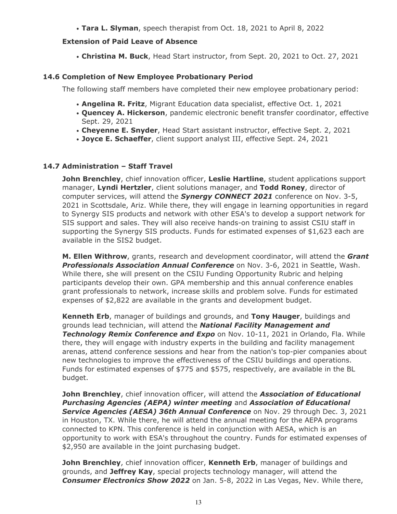• **Tara L. Slyman**, speech therapist from Oct. 18, 2021 to April 8, 2022

# **Extension of Paid Leave of Absence**

• **Christina M. Buck**, Head Start instructor, from Sept. 20, 2021 to Oct. 27, 2021

# **14.6 Completion of New Employee Probationary Period**

The following staff members have completed their new employee probationary period:

- **Angelina R. Fritz**, Migrant Education data specialist, effective Oct. 1, 2021
- **Quencey A. Hickerson**, pandemic electronic benefit transfer coordinator, effective Sept. 29, 2021
- **Cheyenne E. Snyder**, Head Start assistant instructor, effective Sept. 2, 2021
- **Joyce E. Schaeffer**, client support analyst III, effective Sept. 24, 2021

# **14.7 Administration – Staff Travel**

**John Brenchley**, chief innovation officer, **Leslie Hartline**, student applications support manager, **Lyndi Hertzler**, client solutions manager, and **Todd Roney**, director of computer services, will attend the *Synergy CONNECT 2021* conference on Nov. 3-5, 2021 in Scottsdale, Ariz. While there, they will engage in learning opportunities in regard to Synergy SIS products and network with other ESA's to develop a support network for SIS support and sales. They will also receive hands-on training to assist CSIU staff in supporting the Synergy SIS products. Funds for estimated expenses of \$1,623 each are available in the SIS2 budget.

**M. Ellen Withrow**, grants, research and development coordinator, will attend the *Grant Professionals Association Annual Conference* on Nov. 3-6, 2021 in Seattle, Wash. While there, she will present on the CSIU Funding Opportunity Rubric and helping participants develop their own. GPA membership and this annual conference enables grant professionals to network, increase skills and problem solve. Funds for estimated expenses of \$2,822 are available in the grants and development budget.

**Kenneth Erb**, manager of buildings and grounds, and **Tony Hauger**, buildings and grounds lead technician, will attend the *National Facility Management and* **Technology Remix Conference and Expo** on Nov. 10-11, 2021 in Orlando, Fla. While there, they will engage with industry experts in the building and facility management arenas, attend conference sessions and hear from the nation's top-pier companies about new technologies to improve the effectiveness of the CSIU buildings and operations. Funds for estimated expenses of \$775 and \$575, respectively, are available in the BL budget.

**John Brenchley**, chief innovation officer, will attend the *Association of Educational Purchasing Agencies (AEPA) winter meeting* and *Association of Educational Service Agencies (AESA) 36th Annual Conference* on Nov. 29 through Dec. 3, 2021 in Houston, TX. While there, he will attend the annual meeting for the AEPA programs connected to KPN. This conference is held in conjunction with AESA, which is an opportunity to work with ESA's throughout the country. Funds for estimated expenses of \$2,950 are available in the joint purchasing budget.

**John Brenchley**, chief innovation officer, **Kenneth Erb**, manager of buildings and grounds, and **Jeffrey Kay**, special projects technology manager, will attend the *Consumer Electronics Show 2022* on Jan. 5-8, 2022 in Las Vegas, Nev. While there,